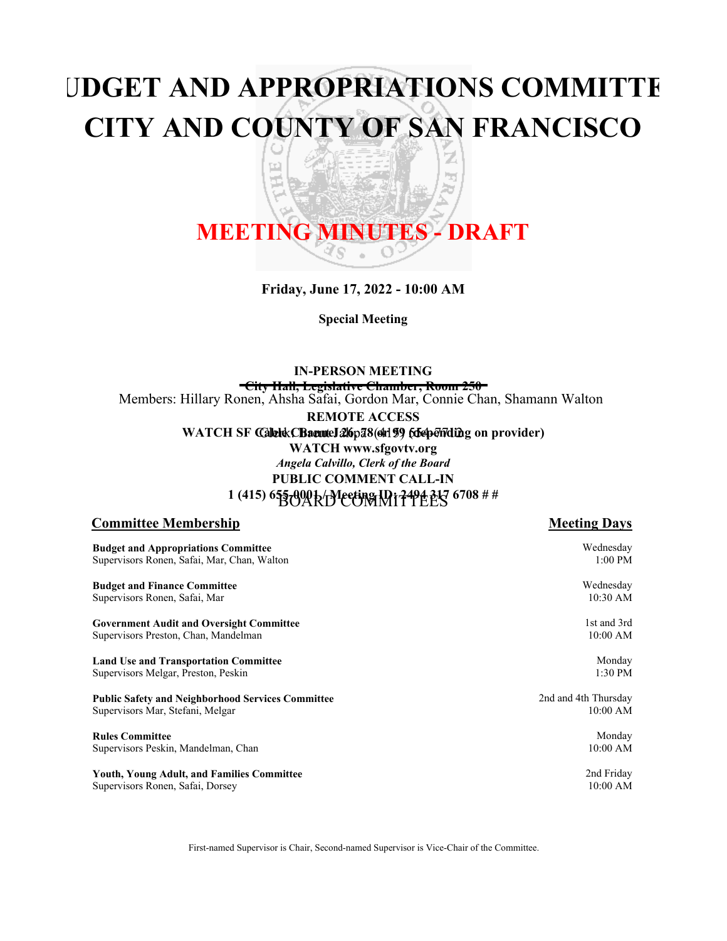# **BUDGET AND APPROPRIATIONS COMMITTEE CITY AND COUNTY OF SAN FRANCISCO**

띠

z

h<sub>il</sub>

# **MEETING MINUTES - DRAFT**

**Friday, June 17, 2022 - 10:00 AM**

**Special Meeting**

Members: Hillary Ronen, Ahsha Safai, Gordon Mar, Connie Chan, Shamann Walton **IN-PERSON MEETING City Hall, Legislative Chamber, Room 250 REMOTE ACCESS**

WATCH SF Calletek: CBaeuntel 216pa8(oh199 folsepending on provider)

**WATCH www.sfgovtv.org PUBLIC COMMENT CALL-IN 1 (415) 655-0001 / Meeting ID: 2494 317 6708 # #** BOARD COMMITTEES *Angela Calvillo, Clerk of the Board*

#### **Committee Membership Meeting Days Meeting Days**

**Budget and Appropriations Committee** Supervisors Ronen, Safai, Mar, Chan, Walton **Budget and Finance Committee** Supervisors Ronen, Safai, Mar **Government Audit and Oversight Committee** Supervisors Preston, Chan, Mandelman **Land Use and Transportation Committee** Supervisors Melgar, Preston, Peskin **Public Safety and Neighborhood Services Committee** Supervisors Mar, Stefani, Melgar **Rules Committee** Supervisors Peskin, Mandelman, Chan **Youth, Young Adult, and Families Committee** Supervisors Ronen, Safai, Dorsey 1:00 PM Wednesday 10:30 AM 1st and 3rd 10:00 AM Monday 1:30 PM 2nd and 4th Thursday 10:00 AM Monday 10:00 AM 2nd Friday 10:00 AM

First-named Supervisor is Chair, Second-named Supervisor is Vice-Chair of the Committee.

Wednesday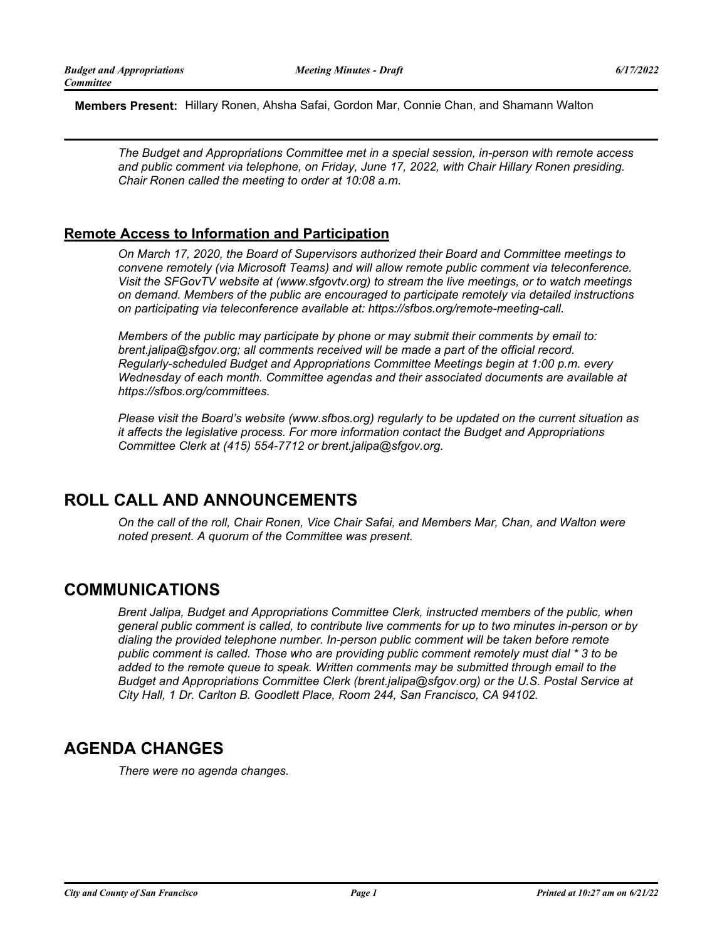**Members Present:** Hillary Ronen, Ahsha Safai, Gordon Mar, Connie Chan, and Shamann Walton

*The Budget and Appropriations Committee met in a special session, in-person with remote access*  and public comment via telephone, on Friday, June 17, 2022, with Chair Hillary Ronen presiding. *Chair Ronen called the meeting to order at 10:08 a.m.*

### **Remote Access to Information and Participation**

*On March 17, 2020, the Board of Supervisors authorized their Board and Committee meetings to convene remotely (via Microsoft Teams) and will allow remote public comment via teleconference. Visit the SFGovTV website at (www.sfgovtv.org) to stream the live meetings, or to watch meetings on demand. Members of the public are encouraged to participate remotely via detailed instructions on participating via teleconference available at: https://sfbos.org/remote-meeting-call.*

*Members of the public may participate by phone or may submit their comments by email to: brent.jalipa@sfgov.org; all comments received will be made a part of the official record. Regularly-scheduled Budget and Appropriations Committee Meetings begin at 1:00 p.m. every Wednesday of each month. Committee agendas and their associated documents are available at https://sfbos.org/committees.*

*Please visit the Board's website (www.sfbos.org) regularly to be updated on the current situation as it affects the legislative process. For more information contact the Budget and Appropriations Committee Clerk at (415) 554-7712 or brent.jalipa@sfgov.org.*

# **ROLL CALL AND ANNOUNCEMENTS**

*On the call of the roll, Chair Ronen, Vice Chair Safai, and Members Mar, Chan, and Walton were noted present. A quorum of the Committee was present.*

### **COMMUNICATIONS**

*Brent Jalipa, Budget and Appropriations Committee Clerk, instructed members of the public, when general public comment is called, to contribute live comments for up to two minutes in-person or by dialing the provided telephone number. In-person public comment will be taken before remote public comment is called. Those who are providing public comment remotely must dial \* 3 to be added to the remote queue to speak. Written comments may be submitted through email to the Budget and Appropriations Committee Clerk (brent.jalipa@sfgov.org) or the U.S. Postal Service at City Hall, 1 Dr. Carlton B. Goodlett Place, Room 244, San Francisco, CA 94102.*

# **AGENDA CHANGES**

*There were no agenda changes.*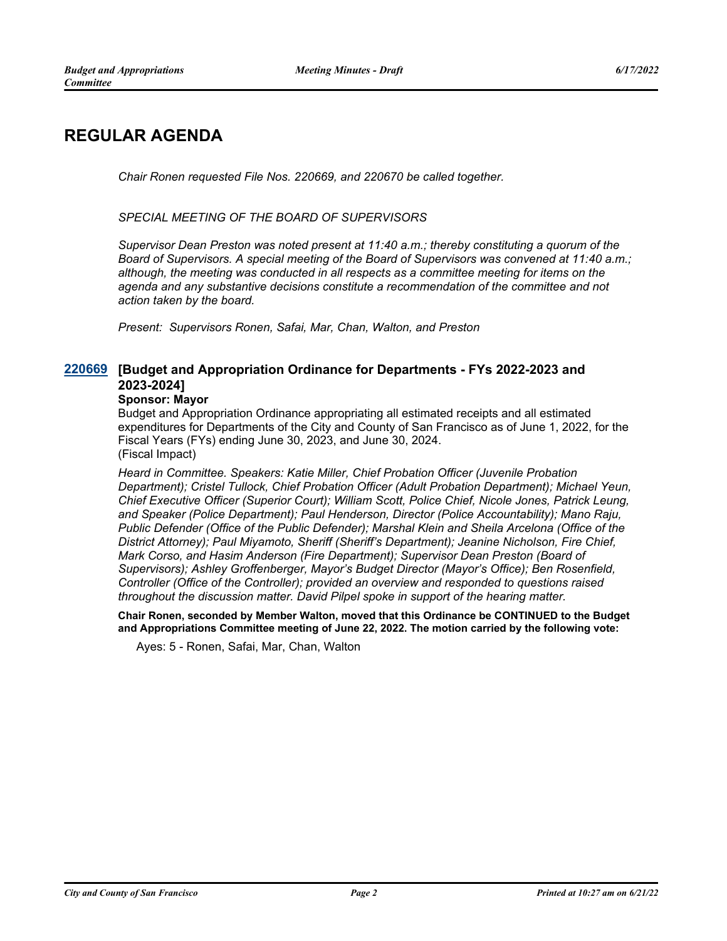# **REGULAR AGENDA**

*Chair Ronen requested File Nos. 220669, and 220670 be called together.*

*SPECIAL MEETING OF THE BOARD OF SUPERVISORS*

*Supervisor Dean Preston was noted present at 11:40 a.m.; thereby constituting a quorum of the Board of Supervisors. A special meeting of the Board of Supervisors was convened at 11:40 a.m.; although, the meeting was conducted in all respects as a committee meeting for items on the agenda and any substantive decisions constitute a recommendation of the committee and not action taken by the board.*

*Present: Supervisors Ronen, Safai, Mar, Chan, Walton, and Preston*

#### **[Budget and Appropriation Ordinance for Departments - FYs 2022-2023 and [220669](http://sfgov.legistar.com/gateway.aspx?m=l&id=38861) 2023-2024]**

#### **Sponsor: Mayor**

Budget and Appropriation Ordinance appropriating all estimated receipts and all estimated expenditures for Departments of the City and County of San Francisco as of June 1, 2022, for the Fiscal Years (FYs) ending June 30, 2023, and June 30, 2024. (Fiscal Impact)

*Heard in Committee. Speakers: Katie Miller, Chief Probation Officer (Juvenile Probation Department); Cristel Tullock, Chief Probation Officer (Adult Probation Department); Michael Yeun, Chief Executive Officer (Superior Court); William Scott, Police Chief, Nicole Jones, Patrick Leung, and Speaker (Police Department); Paul Henderson, Director (Police Accountability); Mano Raju, Public Defender (Office of the Public Defender); Marshal Klein and Sheila Arcelona (Office of the District Attorney); Paul Miyamoto, Sheriff (Sheriff's Department); Jeanine Nicholson, Fire Chief, Mark Corso, and Hasim Anderson (Fire Department); Supervisor Dean Preston (Board of Supervisors); Ashley Groffenberger, Mayor's Budget Director (Mayor's Office); Ben Rosenfield, Controller (Office of the Controller); provided an overview and responded to questions raised throughout the discussion matter. David Pilpel spoke in support of the hearing matter.*

**Chair Ronen, seconded by Member Walton, moved that this Ordinance be CONTINUED to the Budget and Appropriations Committee meeting of June 22, 2022. The motion carried by the following vote:**

Ayes: 5 - Ronen, Safai, Mar, Chan, Walton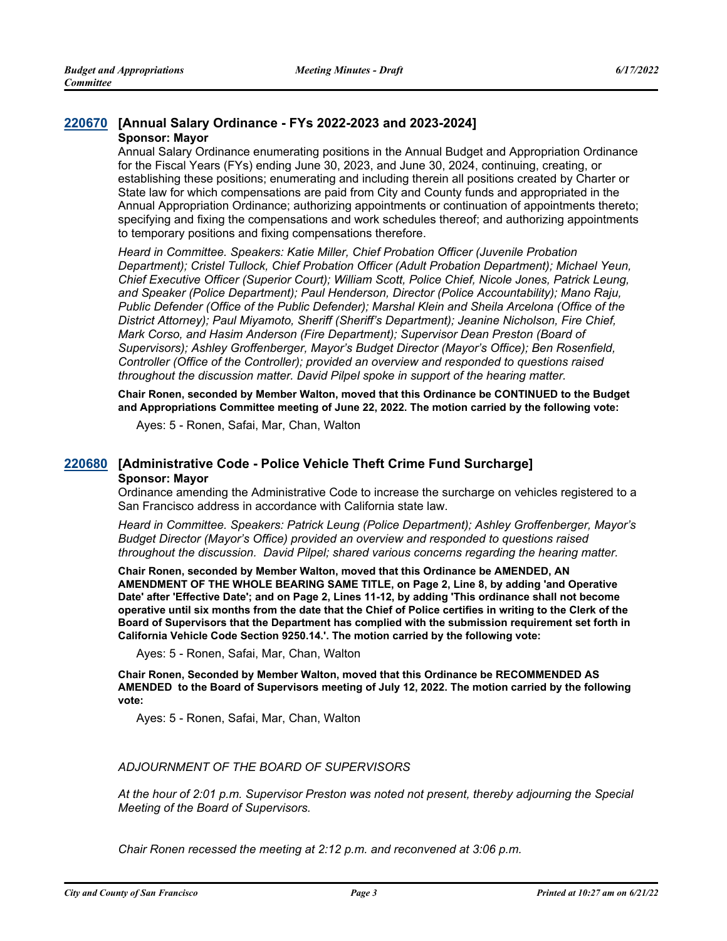# **[220670](http://sfgov.legistar.com/gateway.aspx?m=l&id=38862) [Annual Salary Ordinance - FYs 2022-2023 and 2023-2024]**

#### **Sponsor: Mayor**

Annual Salary Ordinance enumerating positions in the Annual Budget and Appropriation Ordinance for the Fiscal Years (FYs) ending June 30, 2023, and June 30, 2024, continuing, creating, or establishing these positions; enumerating and including therein all positions created by Charter or State law for which compensations are paid from City and County funds and appropriated in the Annual Appropriation Ordinance; authorizing appointments or continuation of appointments thereto; specifying and fixing the compensations and work schedules thereof; and authorizing appointments to temporary positions and fixing compensations therefore.

*Heard in Committee. Speakers: Katie Miller, Chief Probation Officer (Juvenile Probation Department); Cristel Tullock, Chief Probation Officer (Adult Probation Department); Michael Yeun, Chief Executive Officer (Superior Court); William Scott, Police Chief, Nicole Jones, Patrick Leung, and Speaker (Police Department); Paul Henderson, Director (Police Accountability); Mano Raju, Public Defender (Office of the Public Defender); Marshal Klein and Sheila Arcelona (Office of the District Attorney); Paul Miyamoto, Sheriff (Sheriff's Department); Jeanine Nicholson, Fire Chief, Mark Corso, and Hasim Anderson (Fire Department); Supervisor Dean Preston (Board of Supervisors); Ashley Groffenberger, Mayor's Budget Director (Mayor's Office); Ben Rosenfield, Controller (Office of the Controller); provided an overview and responded to questions raised throughout the discussion matter. David Pilpel spoke in support of the hearing matter.*

**Chair Ronen, seconded by Member Walton, moved that this Ordinance be CONTINUED to the Budget and Appropriations Committee meeting of June 22, 2022. The motion carried by the following vote:**

Ayes: 5 - Ronen, Safai, Mar, Chan, Walton

#### **[220680](http://sfgov.legistar.com/gateway.aspx?m=l&id=38872) [Administrative Code - Police Vehicle Theft Crime Fund Surcharge] Sponsor: Mayor**

Ordinance amending the Administrative Code to increase the surcharge on vehicles registered to a San Francisco address in accordance with California state law.

*Heard in Committee. Speakers: Patrick Leung (Police Department); Ashley Groffenberger, Mayor's Budget Director (Mayor's Office) provided an overview and responded to questions raised throughout the discussion. David Pilpel; shared various concerns regarding the hearing matter.*

**Chair Ronen, seconded by Member Walton, moved that this Ordinance be AMENDED, AN AMENDMENT OF THE WHOLE BEARING SAME TITLE, on Page 2, Line 8, by adding 'and Operative Date' after 'Effective Date'; and on Page 2, Lines 11-12, by adding 'This ordinance shall not become operative until six months from the date that the Chief of Police certifies in writing to the Clerk of the Board of Supervisors that the Department has complied with the submission requirement set forth in California Vehicle Code Section 9250.14.'. The motion carried by the following vote:**

Ayes: 5 - Ronen, Safai, Mar, Chan, Walton

**Chair Ronen, Seconded by Member Walton, moved that this Ordinance be RECOMMENDED AS AMENDED to the Board of Supervisors meeting of July 12, 2022. The motion carried by the following vote:**

Ayes: 5 - Ronen, Safai, Mar, Chan, Walton

#### *ADJOURNMENT OF THE BOARD OF SUPERVISORS*

*At the hour of 2:01 p.m. Supervisor Preston was noted not present, thereby adjourning the Special Meeting of the Board of Supervisors.*

*Chair Ronen recessed the meeting at 2:12 p.m. and reconvened at 3:06 p.m.*